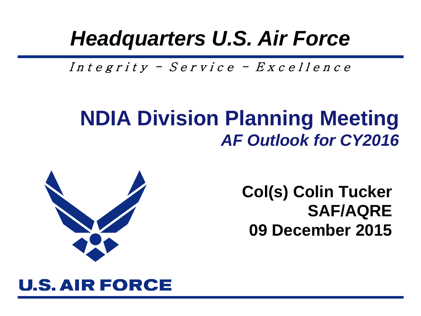### *Headquarters U.S. Air Force*

Integrity - Service -  $Exercise 11$ ence

#### **NDIA Division Planning Meeting** *AF Outlook for CY2016*



**Col(s) Colin Tucker SAF/AQRE 09 December 2015**

#### **U.S. AIR FORCE**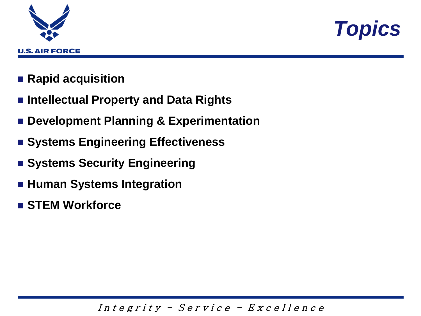



- **Rapid acquisition**
- **Intellectual Property and Data Rights**
- **Development Planning & Experimentation**
- **Example 1 Systems Engineering Effectiveness**
- **Example Security Engineering**
- **Human Systems Integration**
- **STEM Workforce**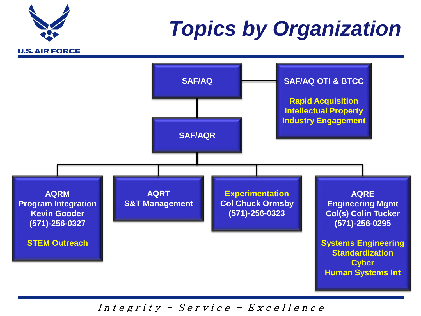# **U.S. AIR FORCE**

### *Topics by Organization*

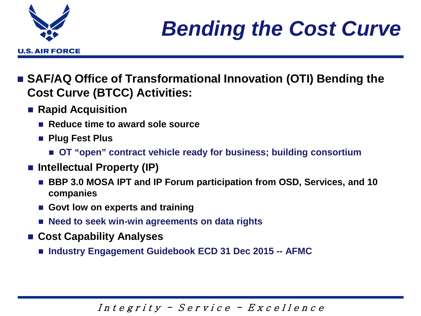

- SAF/AQ Office of Transformational Innovation (OTI) Bending the **Cost Curve (BTCC) Activities:**
	- Rapid Acquisition
		- Reduce time to award sole source
		- **Plug Fest Plus**
			- **OT "open" contract vehicle ready for business; building consortium**
	- Intellectual Property (IP)
		- BBP 3.0 MOSA IPT and IP Forum participation from OSD, Services, and 10 **companies**
		- **Govt low on experts and training**
		- Need to seek win-win agreements on data rights
	- **Cost Capability Analyses**
		- **Industry Engagement Guidebook ECD 31 Dec 2015 -- AFMC**

Integrity - Service -  $Exercise 11$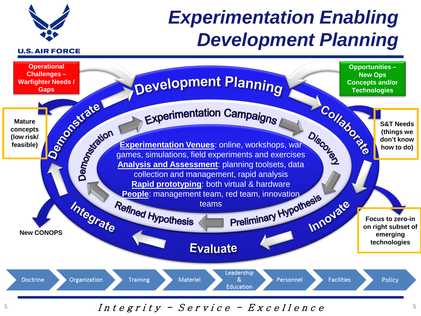

### *Experimentation Enabling Development Planning*

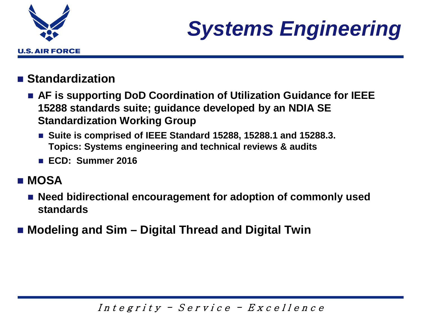

### *Systems Engineering*

#### ■ Standardization

- **AF is supporting DoD Coordination of Utilization Guidance for IEEE 15288 standards suite; guidance developed by an NDIA SE Standardization Working Group**
	- Suite is comprised of IEEE Standard 15288, 15288.1 and 15288.3. **Topics: Systems engineering and technical reviews & audits**
	- **ECD: Summer 2016**

#### **MOSA**

- Need bidirectional encouragement for adoption of commonly used **standards**
- **Modeling and Sim – Digital Thread and Digital Twin**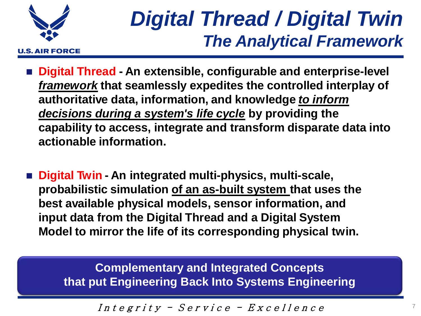

### *Digital Thread / Digital Twin The Analytical Framework*

- **Digital Thread - An extensible, configurable and enterprise-level**  *framework* **that seamlessly expedites the controlled interplay of authoritative data, information, and knowledge** *to inform decisions during a system's life cycle* **by providing the capability to access, integrate and transform disparate data into actionable information.**
- **Digital Twin - An integrated multi-physics, multi-scale, probabilistic simulation of an as-built system that uses the best available physical models, sensor information, and input data from the Digital Thread and a Digital System Model to mirror the life of its corresponding physical twin.**

**Complementary and Integrated Concepts that put Engineering Back Into Systems Engineering**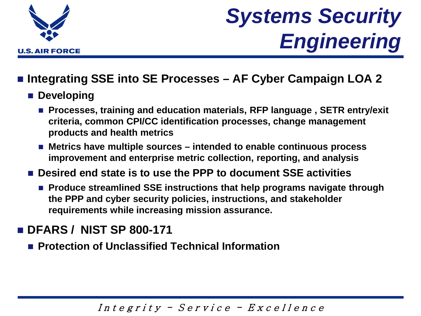

### *Systems Security Engineering*

#### **Integrating SSE into SE Processes – AF Cyber Campaign LOA 2**

- **Developing** 
	- **Processes, training and education materials, RFP language , SETR entry/exit criteria, common CPI/CC identification processes, change management products and health metrics**
	- Metrics have multiple sources intended to enable continuous process **improvement and enterprise metric collection, reporting, and analysis**
- **Desired end state is to use the PPP to document SSE activities**
	- **Produce streamlined SSE instructions that help programs navigate through the PPP and cyber security policies, instructions, and stakeholder requirements while increasing mission assurance.**

#### **DFARS / NIST SP 800-171**

**Protection of Unclassified Technical Information**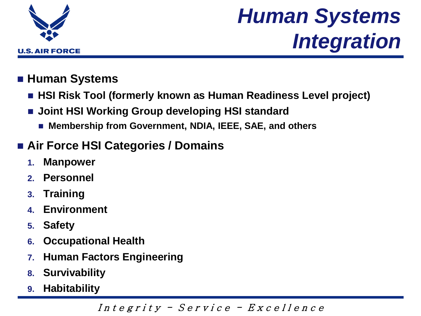

### *Human Systems Integration*

#### **Human Systems**

- HSI Risk Tool (formerly known as Human Readiness Level project)
- **Joint HSI Working Group developing HSI standard**
	- **Membership from Government, NDIA, IEEE, SAE, and others**

#### **Air Force HSI Categories / Domains**

- **1. Manpower**
- **2. Personnel**
- **3. Training**
- **4. Environment**
- **5. Safety**
- **6. Occupational Health**
- **7. Human Factors Engineering**
- **8. Survivability**
- **9. Habitability**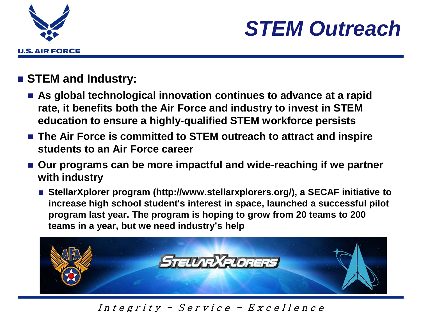



#### **STEM and Industry:**

- As global technological innovation continues to advance at a rapid **rate, it benefits both the Air Force and industry to invest in STEM education to ensure a highly-qualified STEM workforce persists**
- The Air Force is committed to STEM outreach to attract and inspire **students to an Air Force career**
- Our programs can be more impactful and wide-reaching if we partner **with industry**
	- StellarXplorer program (http://www.stellarxplorers.org/), a SECAF initiative to **increase high school student's interest in space, launched a successful pilot program last year. The program is hoping to grow from 20 teams to 200 teams in a year, but we need industry's help**

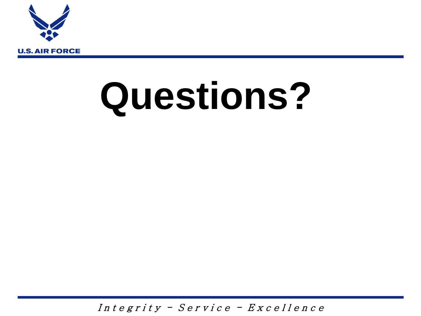

## **Questions?**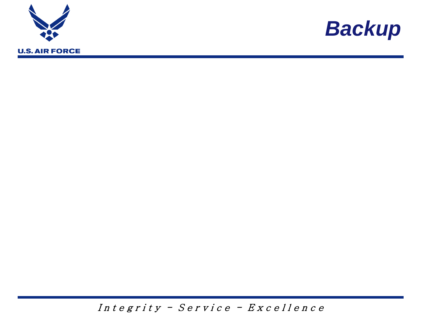



 $Integrity - Service - Exercise$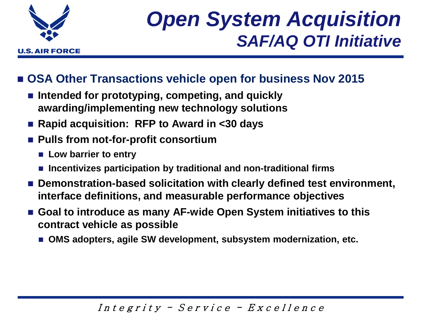

### *Open System Acquisition SAF/AQ OTI Initiative*

#### **OSA Other Transactions vehicle open for business Nov 2015**

- Intended for prototyping, competing, and quickly **awarding/implementing new technology solutions**
- Rapid acquisition: RFP to Award in <30 days
- Pulls from not-for-profit consortium
	- Low barrier to entry
	- **Incentivizes participation by traditional and non-traditional firms**
- Demonstration-based solicitation with clearly defined test environment, **interface definitions, and measurable performance objectives**
- Goal to introduce as many AF-wide Open System initiatives to this **contract vehicle as possible**
	- OMS adopters, agile SW development, subsystem modernization, etc.

#### Integrity - Service -  $Exercise 11$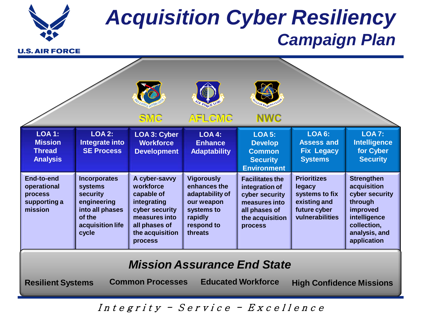

### *Acquisition Cyber Resiliency Campaign Plan*

**U.S. AIR FORCE** 

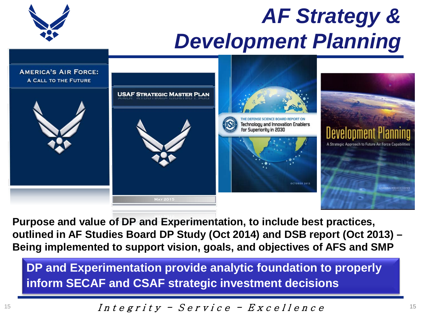### *AF Strategy & Development Planning*





**Purpose and value of DP and Experimentation, to include best practices, outlined in AF Studies Board DP Study (Oct 2014) and DSB report (Oct 2013) – Being implemented to support vision, goals, and objectives of AFS and SMP**

**DP and Experimentation provide analytic foundation to properly inform SECAF and CSAF strategic investment decisions** 

$$
Integrity - Service - ExerciseIIence
$$